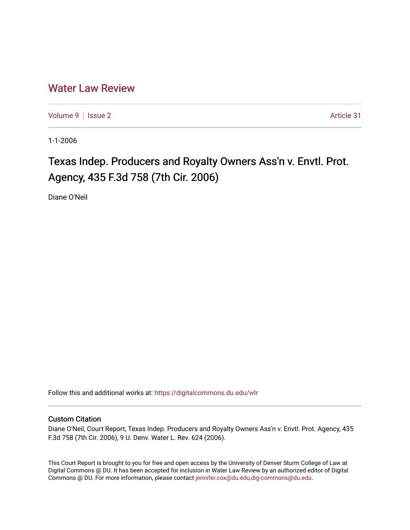## [Water Law Review](https://digitalcommons.du.edu/wlr)

[Volume 9](https://digitalcommons.du.edu/wlr/vol9) | [Issue 2](https://digitalcommons.du.edu/wlr/vol9/iss2) Article 31

1-1-2006

## Texas Indep. Producers and Royalty Owners Ass'n v. Envtl. Prot. Agency, 435 F.3d 758 (7th Cir. 2006)

Diane O'Neil

Follow this and additional works at: [https://digitalcommons.du.edu/wlr](https://digitalcommons.du.edu/wlr?utm_source=digitalcommons.du.edu%2Fwlr%2Fvol9%2Fiss2%2F31&utm_medium=PDF&utm_campaign=PDFCoverPages) 

## Custom Citation

Diane O'Neil, Court Report, Texas Indep. Producers and Royalty Owners Ass'n v. Envtl. Prot. Agency, 435 F.3d 758 (7th Cir. 2006), 9 U. Denv. Water L. Rev. 624 (2006).

This Court Report is brought to you for free and open access by the University of Denver Sturm College of Law at Digital Commons @ DU. It has been accepted for inclusion in Water Law Review by an authorized editor of Digital Commons @ DU. For more information, please contact [jennifer.cox@du.edu,dig-commons@du.edu.](mailto:jennifer.cox@du.edu,dig-commons@du.edu)